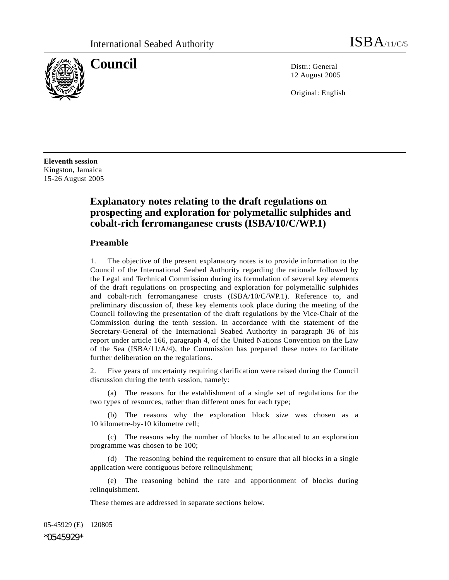

**Council** Distr.: General 12 August 2005

Original: English

**Eleventh session**  Kingston, Jamaica 15-26 August 2005

# **Explanatory notes relating to the draft regulations on prospecting and exploration for polymetallic sulphides and cobalt-rich ferromanganese crusts (ISBA/10/C/WP.1)**

## **Preamble**

1. The objective of the present explanatory notes is to provide information to the Council of the International Seabed Authority regarding the rationale followed by the Legal and Technical Commission during its formulation of several key elements of the draft regulations on prospecting and exploration for polymetallic sulphides and cobalt-rich ferromanganese crusts (ISBA/10/C/WP.1). Reference to, and preliminary discussion of, these key elements took place during the meeting of the Council following the presentation of the draft regulations by the Vice-Chair of the Commission during the tenth session. In accordance with the statement of the Secretary-General of the International Seabed Authority in paragraph 36 of his report under article 166, paragraph 4, of the United Nations Convention on the Law of the Sea (ISBA/11/A/4), the Commission has prepared these notes to facilitate further deliberation on the regulations.

2. Five years of uncertainty requiring clarification were raised during the Council discussion during the tenth session, namely:

 (a) The reasons for the establishment of a single set of regulations for the two types of resources, rather than different ones for each type;

The reasons why the exploration block size was chosen as a 10 kilometre-by-10 kilometre cell;

 (c) The reasons why the number of blocks to be allocated to an exploration programme was chosen to be 100;

 (d) The reasoning behind the requirement to ensure that all blocks in a single application were contiguous before relinquishment;

 (e) The reasoning behind the rate and apportionment of blocks during relinquishment.

These themes are addressed in separate sections below.

05-45929 (E) 120805

\*0545929\*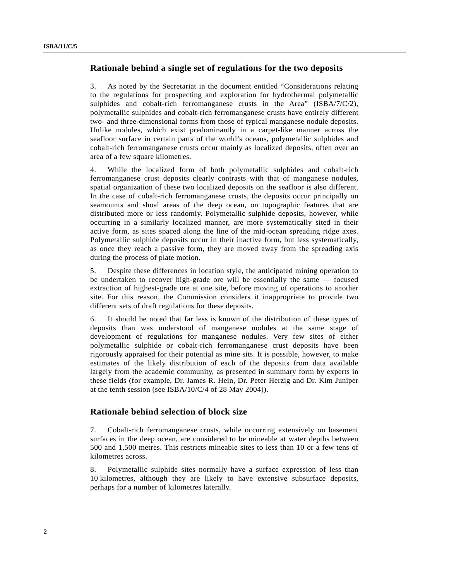## **Rationale behind a single set of regulations for the two deposits**

3. As noted by the Secretariat in the document entitled "Considerations relating to the regulations for prospecting and exploration for hydrothermal polymetallic sulphides and cobalt-rich ferromanganese crusts in the Area" (ISBA/7/C/2), polymetallic sulphides and cobalt-rich ferromanganese crusts have entirely different two- and three-dimensional forms from those of typical manganese nodule deposits. Unlike nodules, which exist predominantly in a carpet-like manner across the seafloor surface in certain parts of the world's oceans, polymetallic sulphides and cobalt-rich ferromanganese crusts occur mainly as localized deposits, often over an area of a few square kilometres.

4. While the localized form of both polymetallic sulphides and cobalt-rich ferromanganese crust deposits clearly contrasts with that of manganese nodules, spatial organization of these two localized deposits on the seafloor is also different. In the case of cobalt-rich ferromanganese crusts, the deposits occur principally on seamounts and shoal areas of the deep ocean, on topographic features that are distributed more or less randomly. Polymetallic sulphide deposits, however, while occurring in a similarly localized manner, are more systematically sited in their active form, as sites spaced along the line of the mid-ocean spreading ridge axes. Polymetallic sulphide deposits occur in their inactive form, but less systematically, as once they reach a passive form, they are moved away from the spreading axis during the process of plate motion.

5. Despite these differences in location style, the anticipated mining operation to be undertaken to recover high-grade ore will be essentially the same — focused extraction of highest-grade ore at one site, before moving of operations to another site. For this reason, the Commission considers it inappropriate to provide two different sets of draft regulations for these deposits.

6. It should be noted that far less is known of the distribution of these types of deposits than was understood of manganese nodules at the same stage of development of regulations for manganese nodules. Very few sites of either polymetallic sulphide or cobalt-rich ferromanganese crust deposits have been rigorously appraised for their potential as mine sits. It is possible, however, to make estimates of the likely distribution of each of the deposits from data available largely from the academic community, as presented in summary form by experts in these fields (for example, Dr. James R. Hein, Dr. Peter Herzig and Dr. Kim Juniper at the tenth session (see ISBA/10/C/4 of 28 May 2004)).

### **Rationale behind selection of block size**

7. Cobalt-rich ferromanganese crusts, while occurring extensively on basement surfaces in the deep ocean, are considered to be mineable at water depths between 500 and 1,500 metres. This restricts mineable sites to less than 10 or a few tens of kilometres across.

8. Polymetallic sulphide sites normally have a surface expression of less than 10 kilometres, although they are likely to have extensive subsurface deposits, perhaps for a number of kilometres laterally.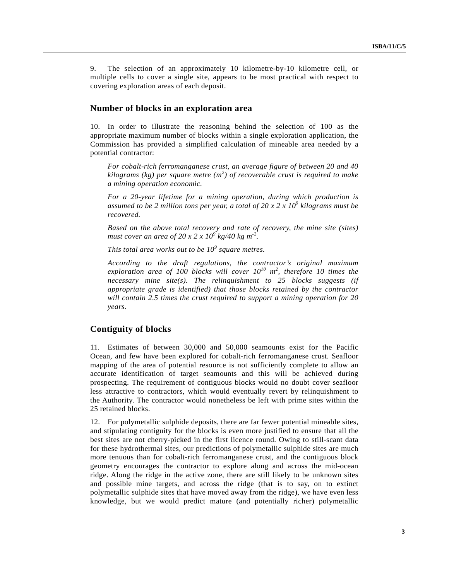9. The selection of an approximately 10 kilometre-by-10 kilometre cell, or multiple cells to cover a single site, appears to be most practical with respect to covering exploration areas of each deposit.

#### **Number of blocks in an exploration area**

10. In order to illustrate the reasoning behind the selection of 100 as the appropriate maximum number of blocks within a single exploration application, the Commission has provided a simplified calculation of mineable area needed by a potential contractor:

*For cobalt-rich ferromanganese crust, an average figure of between 20 and 40 kilograms (kg) per square metre (m<sup>2</sup> ) of recoverable crust is required to make a mining operation economic.* 

*For a 20-year lifetime for a mining operation, during which production is assumed to be 2 million tons per year, a total of 20 x 2 x 10<sup>9</sup> kilograms must be recovered.* 

*Based on the above total recovery and rate of recovery, the mine site (sites) must cover an area of 20 x 2 x 10<sup>9</sup> kg/40 kg m-2.* 

*This total area works out to be 10<sup>9</sup> square metres.* 

*According to the draft regulations, the contractor's original maximum exploration area of 100 blocks will cover 1010 m2 , therefore 10 times the necessary mine site(s). The relinquishment to 25 blocks suggests (if appropriate grade is identified) that those blocks retained by the contractor will contain 2.5 times the crust required to support a mining operation for 20 years.*

## **Contiguity of blocks**

11. Estimates of between 30,000 and 50,000 seamounts exist for the Pacific Ocean, and few have been explored for cobalt-rich ferromanganese crust. Seafloor mapping of the area of potential resource is not sufficiently complete to allow an accurate identification of target seamounts and this will be achieved during prospecting. The requirement of contiguous blocks would no doubt cover seafloor less attractive to contractors, which would eventually revert by relinquishment to the Authority. The contractor would nonetheless be left with prime sites within the 25 retained blocks.

12. For polymetallic sulphide deposits, there are far fewer potential mineable sites, and stipulating contiguity for the blocks is even more justified to ensure that all the best sites are not cherry-picked in the first licence round. Owing to still-scant data for these hydrothermal sites, our predictions of polymetallic sulphide sites are much more tenuous than for cobalt-rich ferromanganese crust, and the contiguous block geometry encourages the contractor to explore along and across the mid-ocean ridge. Along the ridge in the active zone, there are still likely to be unknown sites and possible mine targets, and across the ridge (that is to say, on to extinct polymetallic sulphide sites that have moved away from the ridge), we have even less knowledge, but we would predict mature (and potentially richer) polymetallic